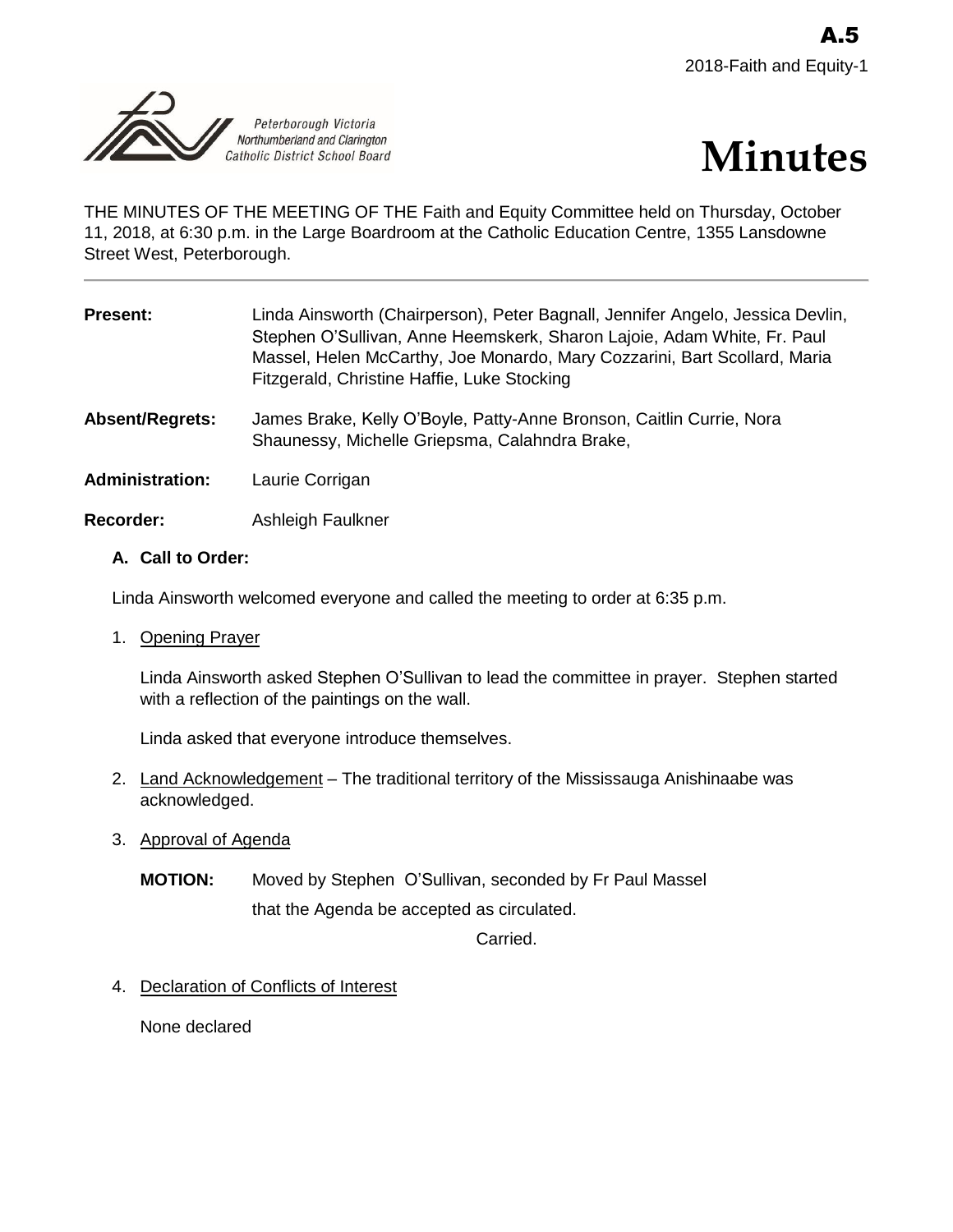



THE MINUTES OF THE MEETING OF THE Faith and Equity Committee held on Thursday, October 11, 2018, at 6:30 p.m. in the Large Boardroom at the Catholic Education Centre, 1355 Lansdowne Street West, Peterborough.

| <b>Present:</b>        | Linda Ainsworth (Chairperson), Peter Bagnall, Jennifer Angelo, Jessica Devlin,<br>Stephen O'Sullivan, Anne Heemskerk, Sharon Lajoie, Adam White, Fr. Paul<br>Massel, Helen McCarthy, Joe Monardo, Mary Cozzarini, Bart Scollard, Maria<br>Fitzgerald, Christine Haffie, Luke Stocking |
|------------------------|---------------------------------------------------------------------------------------------------------------------------------------------------------------------------------------------------------------------------------------------------------------------------------------|
| Absent/Regrets:        | James Brake, Kelly O'Boyle, Patty-Anne Bronson, Caitlin Currie, Nora<br>Shaunessy, Michelle Griepsma, Calahndra Brake,                                                                                                                                                                |
| <b>Administration:</b> | Laurie Corrigan                                                                                                                                                                                                                                                                       |
| <b>Recorder:</b>       | Ashleigh Faulkner                                                                                                                                                                                                                                                                     |

## **A. Call to Order:**

Linda Ainsworth welcomed everyone and called the meeting to order at 6:35 p.m.

1. Opening Prayer

Linda Ainsworth asked Stephen O'Sullivan to lead the committee in prayer. Stephen started with a reflection of the paintings on the wall.

Linda asked that everyone introduce themselves.

- 2. Land Acknowledgement The traditional territory of the Mississauga Anishinaabe was acknowledged.
- 3. Approval of Agenda
	- **MOTION:** Moved by Stephen O'Sullivan, seconded by Fr Paul Massel that the Agenda be accepted as circulated.

Carried.

4. Declaration of Conflicts of Interest

None declared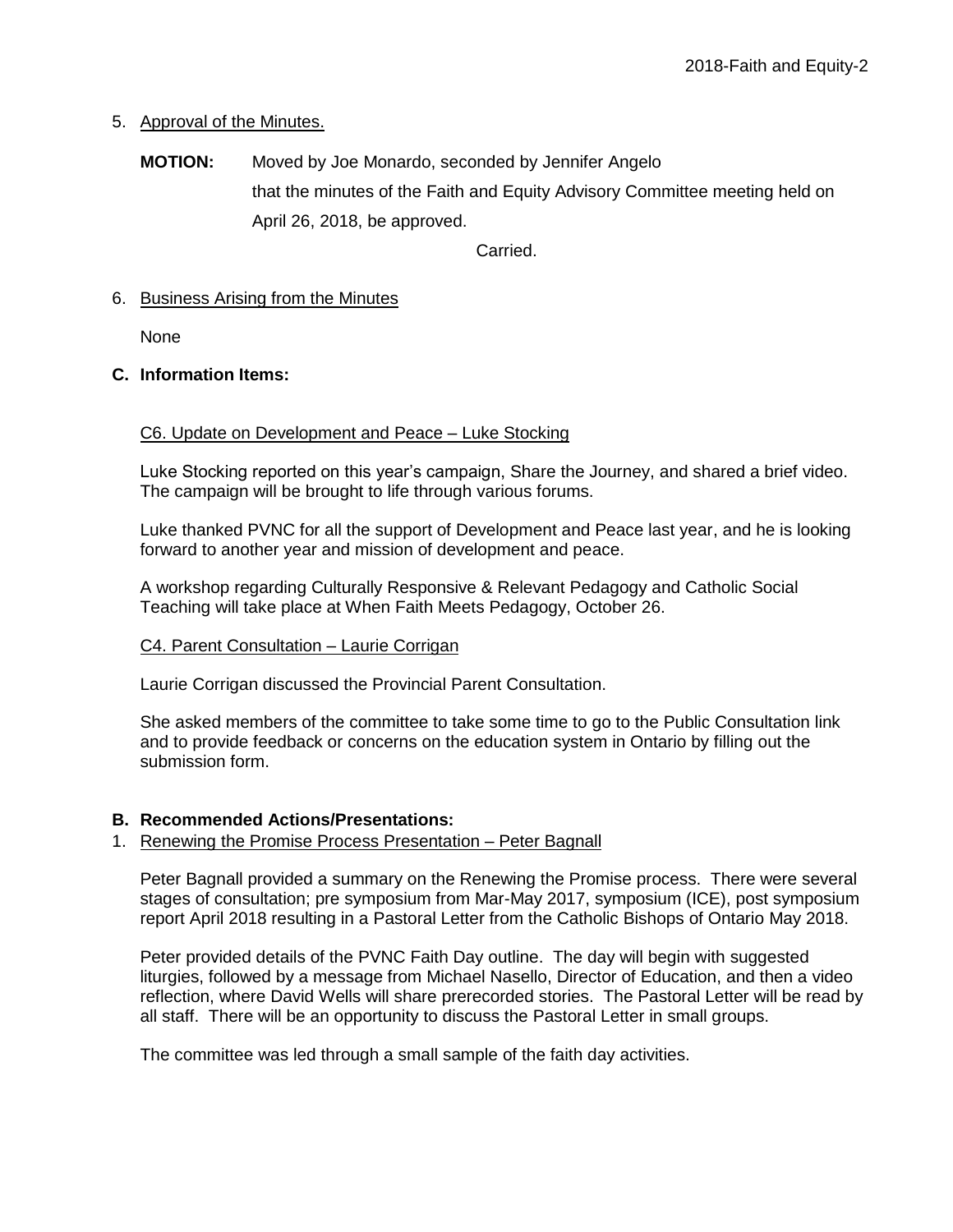# 5. Approval of the Minutes.

**MOTION:** Moved by Joe Monardo, seconded by Jennifer Angelo that the minutes of the Faith and Equity Advisory Committee meeting held on April 26, 2018, be approved.

Carried.

## 6. Business Arising from the Minutes

None

# **C. Information Items:**

## C6. Update on Development and Peace – Luke Stocking

Luke Stocking reported on this year's campaign, Share the Journey, and shared a brief video. The campaign will be brought to life through various forums.

Luke thanked PVNC for all the support of Development and Peace last year, and he is looking forward to another year and mission of development and peace.

A workshop regarding Culturally Responsive & Relevant Pedagogy and Catholic Social Teaching will take place at When Faith Meets Pedagogy, October 26.

## C4. Parent Consultation – Laurie Corrigan

Laurie Corrigan discussed the Provincial Parent Consultation.

She asked members of the committee to take some time to go to the Public Consultation link and to provide feedback or concerns on the education system in Ontario by filling out the submission form.

## **B. Recommended Actions/Presentations:**

## 1. Renewing the Promise Process Presentation – Peter Bagnall

Peter Bagnall provided a summary on the Renewing the Promise process. There were several stages of consultation; pre symposium from Mar-May 2017, symposium (ICE), post symposium report April 2018 resulting in a Pastoral Letter from the Catholic Bishops of Ontario May 2018.

Peter provided details of the PVNC Faith Day outline. The day will begin with suggested liturgies, followed by a message from Michael Nasello, Director of Education, and then a video reflection, where David Wells will share prerecorded stories. The Pastoral Letter will be read by all staff. There will be an opportunity to discuss the Pastoral Letter in small groups.

The committee was led through a small sample of the faith day activities.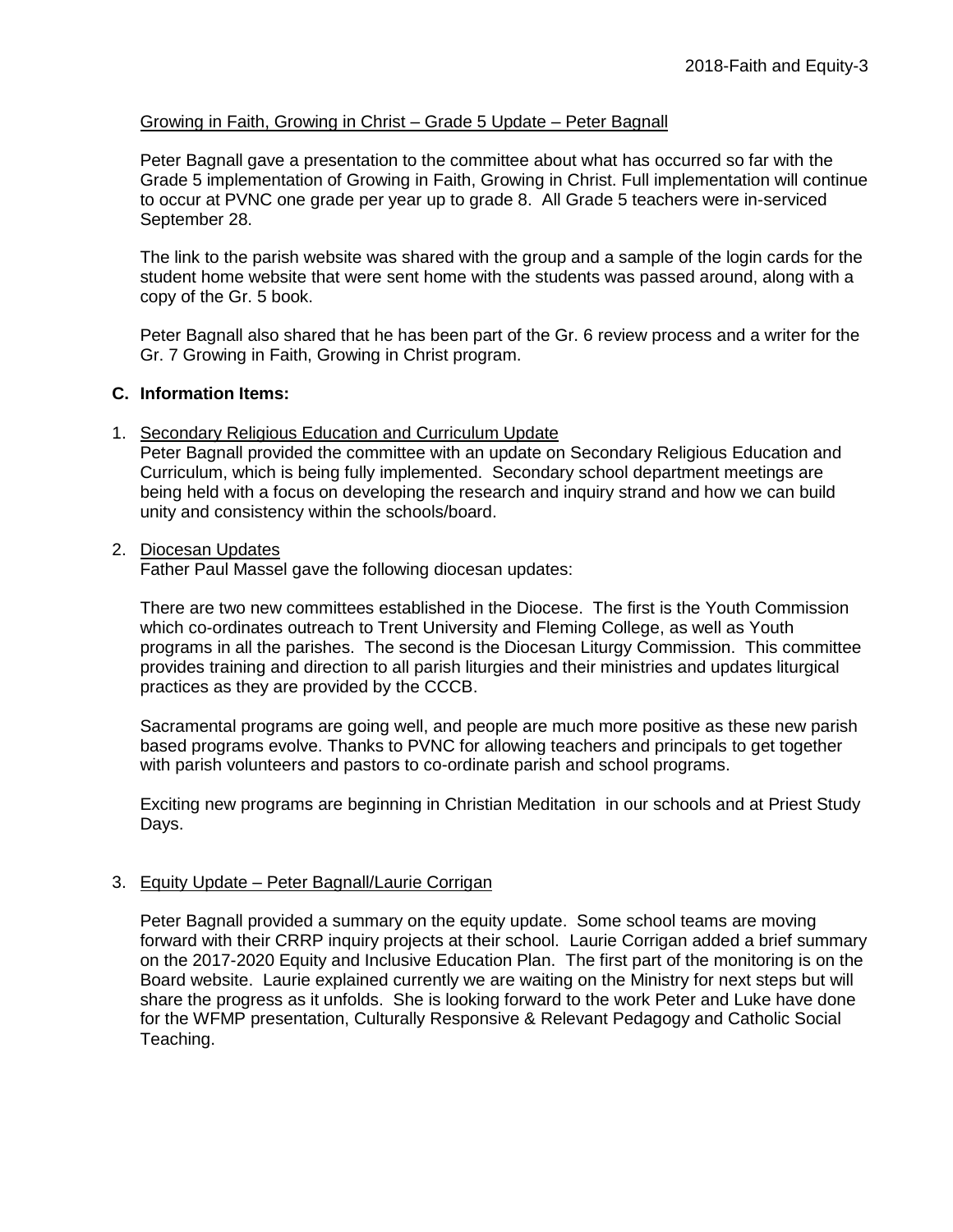### Growing in Faith, Growing in Christ – Grade 5 Update – Peter Bagnall

Peter Bagnall gave a presentation to the committee about what has occurred so far with the Grade 5 implementation of Growing in Faith, Growing in Christ. Full implementation will continue to occur at PVNC one grade per year up to grade 8. All Grade 5 teachers were in-serviced September 28.

The link to the parish website was shared with the group and a sample of the login cards for the student home website that were sent home with the students was passed around, along with a copy of the Gr. 5 book.

Peter Bagnall also shared that he has been part of the Gr. 6 review process and a writer for the Gr. 7 Growing in Faith, Growing in Christ program.

### **C. Information Items:**

### 1. Secondary Religious Education and Curriculum Update

Peter Bagnall provided the committee with an update on Secondary Religious Education and Curriculum, which is being fully implemented. Secondary school department meetings are being held with a focus on developing the research and inquiry strand and how we can build unity and consistency within the schools/board.

#### 2. Diocesan Updates

Father Paul Massel gave the following diocesan updates:

There are two new committees established in the Diocese. The first is the Youth Commission which co-ordinates outreach to Trent University and Fleming College, as well as Youth programs in all the parishes. The second is the Diocesan Liturgy Commission. This committee provides training and direction to all parish liturgies and their ministries and updates liturgical practices as they are provided by the CCCB.

Sacramental programs are going well, and people are much more positive as these new parish based programs evolve. Thanks to PVNC for allowing teachers and principals to get together with parish volunteers and pastors to co-ordinate parish and school programs.

Exciting new programs are beginning in Christian Meditation in our schools and at Priest Study Days.

### 3. Equity Update – Peter Bagnall/Laurie Corrigan

Peter Bagnall provided a summary on the equity update. Some school teams are moving forward with their CRRP inquiry projects at their school. Laurie Corrigan added a brief summary on the 2017-2020 Equity and Inclusive Education Plan. The first part of the monitoring is on the Board website. Laurie explained currently we are waiting on the Ministry for next steps but will share the progress as it unfolds. She is looking forward to the work Peter and Luke have done for the WFMP presentation, Culturally Responsive & Relevant Pedagogy and Catholic Social Teaching.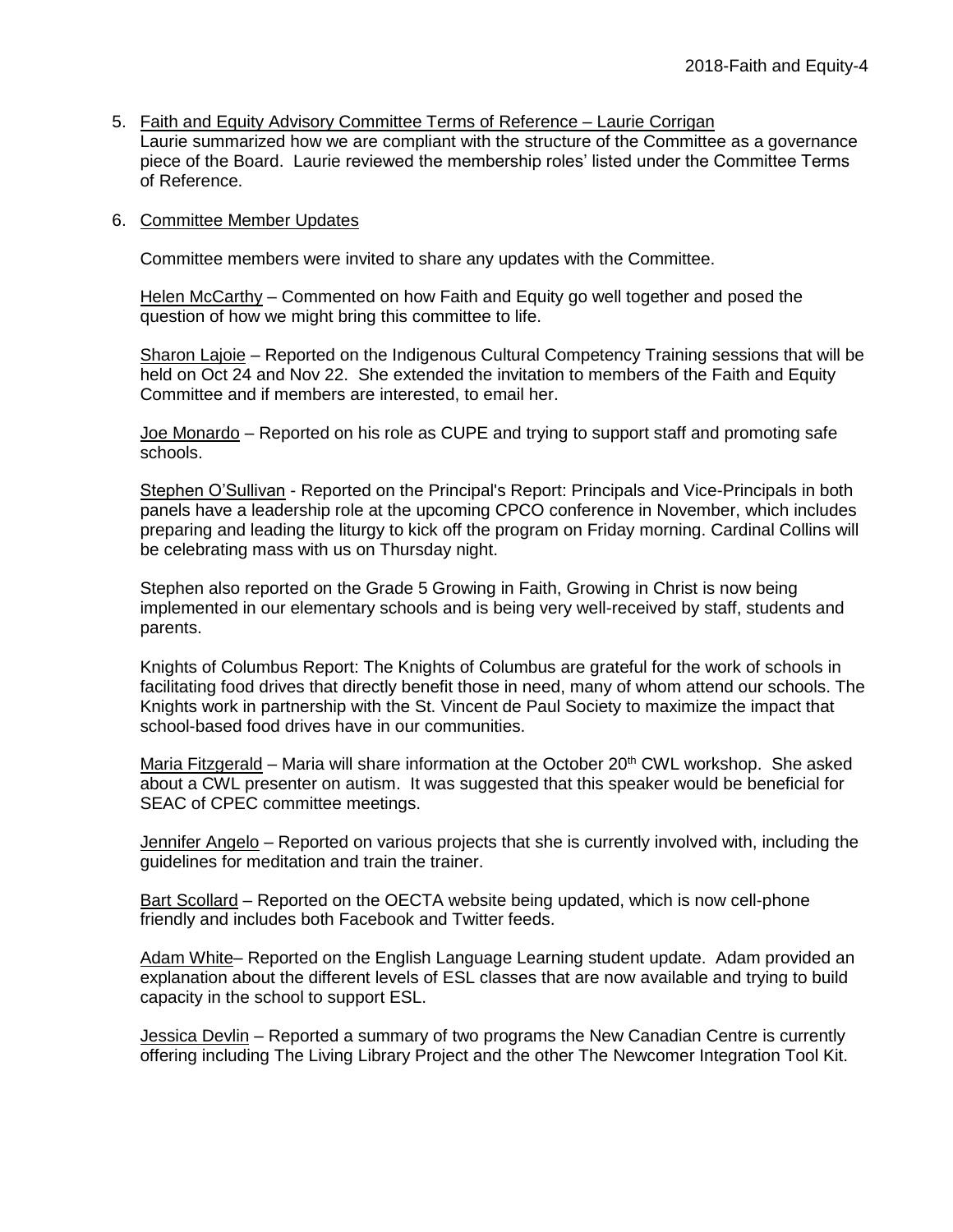5. Faith and Equity Advisory Committee Terms of Reference – Laurie Corrigan Laurie summarized how we are compliant with the structure of the Committee as a governance piece of the Board. Laurie reviewed the membership roles' listed under the Committee Terms of Reference.

### 6. Committee Member Updates

Committee members were invited to share any updates with the Committee.

Helen McCarthy - Commented on how Faith and Equity go well together and posed the question of how we might bring this committee to life.

Sharon Lajoie – Reported on the Indigenous Cultural Competency Training sessions that will be held on Oct 24 and Nov 22. She extended the invitation to members of the Faith and Equity Committee and if members are interested, to email her.

Joe Monardo – Reported on his role as CUPE and trying to support staff and promoting safe schools.

Stephen O'Sullivan - Reported on the Principal's Report: Principals and Vice-Principals in both panels have a leadership role at the upcoming CPCO conference in November, which includes preparing and leading the liturgy to kick off the program on Friday morning. Cardinal Collins will be celebrating mass with us on Thursday night.

Stephen also reported on the Grade 5 Growing in Faith, Growing in Christ is now being implemented in our elementary schools and is being very well-received by staff, students and parents.

Knights of Columbus Report: The Knights of Columbus are grateful for the work of schools in facilitating food drives that directly benefit those in need, many of whom attend our schools. The Knights work in partnership with the St. Vincent de Paul Society to maximize the impact that school-based food drives have in our communities.

Maria Fitzgerald – Maria will share information at the October  $20<sup>th</sup>$  CWL workshop. She asked about a CWL presenter on autism. It was suggested that this speaker would be beneficial for SEAC of CPEC committee meetings.

Jennifer Angelo – Reported on various projects that she is currently involved with, including the guidelines for meditation and train the trainer.

Bart Scollard – Reported on the OECTA website being updated, which is now cell-phone friendly and includes both Facebook and Twitter feeds.

Adam White– Reported on the English Language Learning student update. Adam provided an explanation about the different levels of ESL classes that are now available and trying to build capacity in the school to support ESL.

Jessica Devlin – Reported a summary of two programs the New Canadian Centre is currently offering including The Living Library Project and the other The Newcomer Integration Tool Kit.